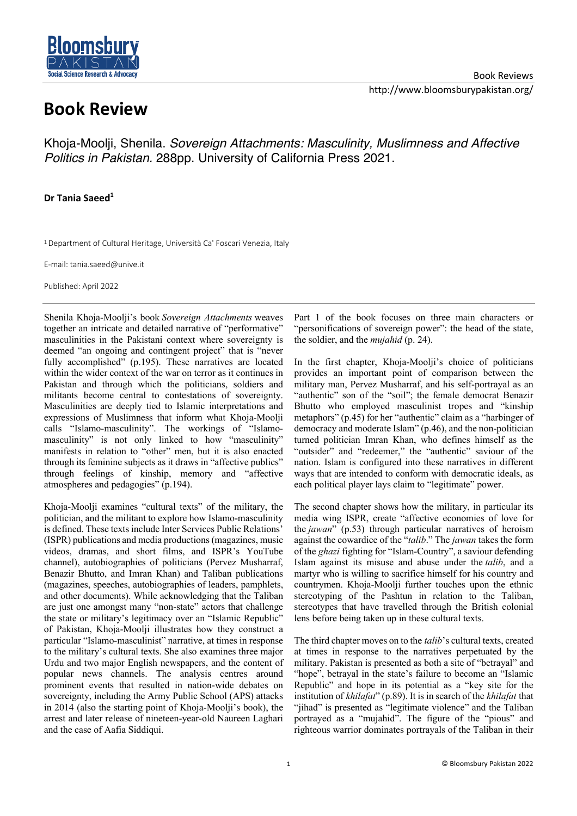

## Book Reviews http://www.bloomsburypakistan.org/

## **Book Review**

Khoja-Moolji, Shenila. *Sovereign Attachments: Masculinity, Muslimness and Affective Politics in Pakistan.* 288pp. University of California Press 2021.

## **Dr Tania Saeed1**

<sup>1</sup> Department of Cultural Heritage, Università Ca' Foscari Venezia, Italy

E-mail: tania.saeed@unive.it

Published: April 2022

Shenila Khoja-Moolji's book *Sovereign Attachments* weaves together an intricate and detailed narrative of "performative" masculinities in the Pakistani context where sovereignty is deemed "an ongoing and contingent project" that is "never fully accomplished" (p.195). These narratives are located within the wider context of the war on terror as it continues in Pakistan and through which the politicians, soldiers and militants become central to contestations of sovereignty. Masculinities are deeply tied to Islamic interpretations and expressions of Muslimness that inform what Khoja-Moolji calls "Islamo-masculinity". The workings of "Islamomasculinity" is not only linked to how "masculinity" manifests in relation to "other" men, but it is also enacted through its feminine subjects as it draws in "affective publics" through feelings of kinship, memory and "affective atmospheres and pedagogies" (p.194).

Khoja-Moolji examines "cultural texts" of the military, the politician, and the militant to explore how Islamo-masculinity is defined. These texts include Inter Services Public Relations' (ISPR) publications and media productions (magazines, music videos, dramas, and short films, and ISPR's YouTube channel), autobiographies of politicians (Pervez Musharraf, Benazir Bhutto, and Imran Khan) and Taliban publications (magazines, speeches, autobiographies of leaders, pamphlets, and other documents). While acknowledging that the Taliban are just one amongst many "non-state" actors that challenge the state or military's legitimacy over an "Islamic Republic" of Pakistan, Khoja-Moolji illustrates how they construct a particular "Islamo-masculinist" narrative, at times in response to the military's cultural texts. She also examines three major Urdu and two major English newspapers, and the content of popular news channels. The analysis centres around prominent events that resulted in nation-wide debates on sovereignty, including the Army Public School (APS) attacks in 2014 (also the starting point of Khoja-Moolji's book), the arrest and later release of nineteen-year-old Naureen Laghari and the case of Aafia Siddiqui.

Part 1 of the book focuses on three main characters or "personifications of sovereign power": the head of the state, the soldier, and the *mujahid* (p. 24).

In the first chapter, Khoja-Moolji's choice of politicians provides an important point of comparison between the military man, Pervez Musharraf, and his self-portrayal as an "authentic" son of the "soil"; the female democrat Benazir Bhutto who employed masculinist tropes and "kinship metaphors" (p.45) for her "authentic" claim as a "harbinger of democracy and moderate Islam" (p.46), and the non-politician turned politician Imran Khan, who defines himself as the "outsider" and "redeemer," the "authentic" saviour of the nation. Islam is configured into these narratives in different ways that are intended to conform with democratic ideals, as each political player lays claim to "legitimate" power.

The second chapter shows how the military, in particular its media wing ISPR, create "affective economies of love for the *jawan*" (p.53) through particular narratives of heroism against the cowardice of the "*talib*." The *jawan* takes the form of the *ghazi* fighting for "Islam-Country", a saviour defending Islam against its misuse and abuse under the *talib*, and a martyr who is willing to sacrifice himself for his country and countrymen. Khoja-Moolji further touches upon the ethnic stereotyping of the Pashtun in relation to the Taliban, stereotypes that have travelled through the British colonial lens before being taken up in these cultural texts.

The third chapter moves on to the *talib*'s cultural texts, created at times in response to the narratives perpetuated by the military. Pakistan is presented as both a site of "betrayal" and "hope", betrayal in the state's failure to become an "Islamic Republic" and hope in its potential as a "key site for the institution of *khilafat*" (p.89). It is in search of the *khilafat* that "jihad" is presented as "legitimate violence" and the Taliban portrayed as a "mujahid". The figure of the "pious" and righteous warrior dominates portrayals of the Taliban in their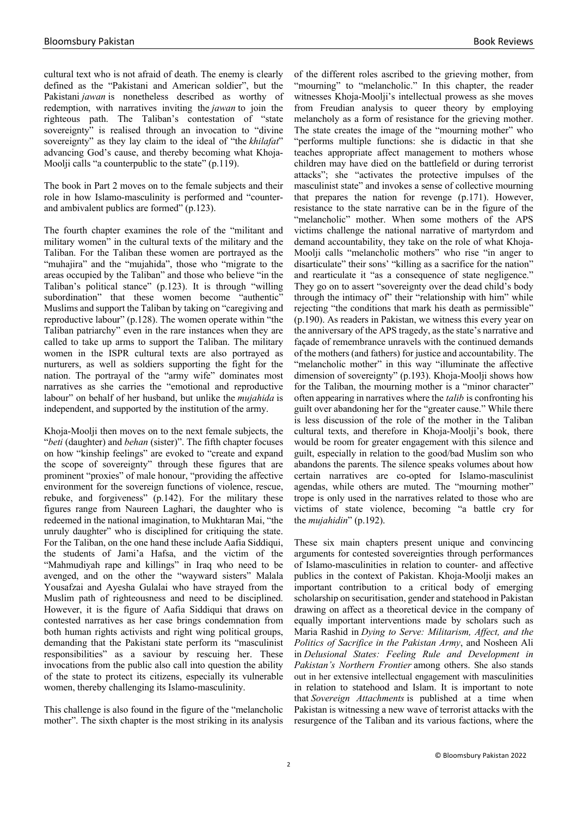cultural text who is not afraid of death. The enemy is clearly defined as the "Pakistani and American soldier", but the Pakistani *jawan* is nonetheless described as worthy of redemption, with narratives inviting the *jawan* to join the righteous path. The Taliban's contestation of "state sovereignty" is realised through an invocation to "divine" sovereignty" as they lay claim to the ideal of "the *khilafat*" advancing God's cause, and thereby becoming what Khoja-Moolji calls "a counterpublic to the state" (p.119).

The book in Part 2 moves on to the female subjects and their role in how Islamo-masculinity is performed and "counterand ambivalent publics are formed" (p.123).

The fourth chapter examines the role of the "militant and military women" in the cultural texts of the military and the Taliban. For the Taliban these women are portrayed as the "muhajira" and the "mujahida", those who "migrate to the areas occupied by the Taliban" and those who believe "in the Taliban's political stance" (p.123). It is through "willing subordination" that these women become "authentic" Muslims and support the Taliban by taking on "caregiving and reproductive labour" (p.128). The women operate within "the Taliban patriarchy" even in the rare instances when they are called to take up arms to support the Taliban. The military women in the ISPR cultural texts are also portrayed as nurturers, as well as soldiers supporting the fight for the nation. The portrayal of the "army wife" dominates most narratives as she carries the "emotional and reproductive labour" on behalf of her husband, but unlike the *mujahida* is independent, and supported by the institution of the army.

Khoja-Moolji then moves on to the next female subjects, the "*beti* (daughter) and *behan* (sister)". The fifth chapter focuses on how "kinship feelings" are evoked to "create and expand the scope of sovereignty" through these figures that are prominent "proxies" of male honour, "providing the affective environment for the sovereign functions of violence, rescue, rebuke, and forgiveness" (p.142). For the military these figures range from Naureen Laghari, the daughter who is redeemed in the national imagination, to Mukhtaran Mai, "the unruly daughter" who is disciplined for critiquing the state. For the Taliban, on the one hand these include Aafia Siddiqui, the students of Jami'a Hafsa, and the victim of the "Mahmudiyah rape and killings" in Iraq who need to be avenged, and on the other the "wayward sisters" Malala Yousafzai and Ayesha Gulalai who have strayed from the Muslim path of righteousness and need to be disciplined. However, it is the figure of Aafia Siddiqui that draws on contested narratives as her case brings condemnation from both human rights activists and right wing political groups, demanding that the Pakistani state perform its "masculinist responsibilities" as a saviour by rescuing her. These invocations from the public also call into question the ability of the state to protect its citizens, especially its vulnerable women, thereby challenging its Islamo-masculinity.

This challenge is also found in the figure of the "melancholic mother". The sixth chapter is the most striking in its analysis of the different roles ascribed to the grieving mother, from "mourning" to "melancholic." In this chapter, the reader witnesses Khoja-Moolji's intellectual prowess as she moves from Freudian analysis to queer theory by employing melancholy as a form of resistance for the grieving mother. The state creates the image of the "mourning mother" who "performs multiple functions: she is didactic in that she teaches appropriate affect management to mothers whose children may have died on the battlefield or during terrorist attacks"; she "activates the protective impulses of the masculinist state" and invokes a sense of collective mourning that prepares the nation for revenge (p.171). However, resistance to the state narrative can be in the figure of the "melancholic" mother. When some mothers of the APS victims challenge the national narrative of martyrdom and demand accountability, they take on the role of what Khoja-Moolii calls "melancholic mothers" who rise "in anger to disarticulate" their sons' "killing as a sacrifice for the nation" and rearticulate it "as a consequence of state negligence." They go on to assert "sovereignty over the dead child's body through the intimacy of" their "relationship with him" while rejecting "the conditions that mark his death as permissible" (p.190). As readers in Pakistan, we witness this every year on the anniversary of the APS tragedy, as the state's narrative and façade of remembrance unravels with the continued demands of the mothers (and fathers) for justice and accountability. The "melancholic mother" in this way "illuminate the affective dimension of sovereignty" (p.193). Khoja-Moolji shows how for the Taliban, the mourning mother is a "minor character" often appearing in narratives where the *talib* is confronting his guilt over abandoning her for the "greater cause." While there is less discussion of the role of the mother in the Taliban cultural texts, and therefore in Khoja-Moolji's book, there would be room for greater engagement with this silence and guilt, especially in relation to the good/bad Muslim son who abandons the parents. The silence speaks volumes about how certain narratives are co-opted for Islamo-masculinist agendas, while others are muted. The "mourning mother" trope is only used in the narratives related to those who are victims of state violence, becoming "a battle cry for the *mujahidin*" (p.192).

These six main chapters present unique and convincing arguments for contested sovereignties through performances of Islamo-masculinities in relation to counter- and affective publics in the context of Pakistan. Khoja-Moolji makes an important contribution to a critical body of emerging scholarship on securitisation, gender and statehood in Pakistan drawing on affect as a theoretical device in the company of equally important interventions made by scholars such as Maria Rashid in *Dying to Serve: Militarism, Affect, and the Politics of Sacrifice in the Pakistan Army*, and Nosheen Ali in *Delusional States: Feeling Rule and Development in Pakistan's Northern Frontier* among others. She also stands out in her extensive intellectual engagement with masculinities in relation to statehood and Islam. It is important to note that *Sovereign Attachments* is published at a time when Pakistan is witnessing a new wave of terrorist attacks with the resurgence of the Taliban and its various factions, where the